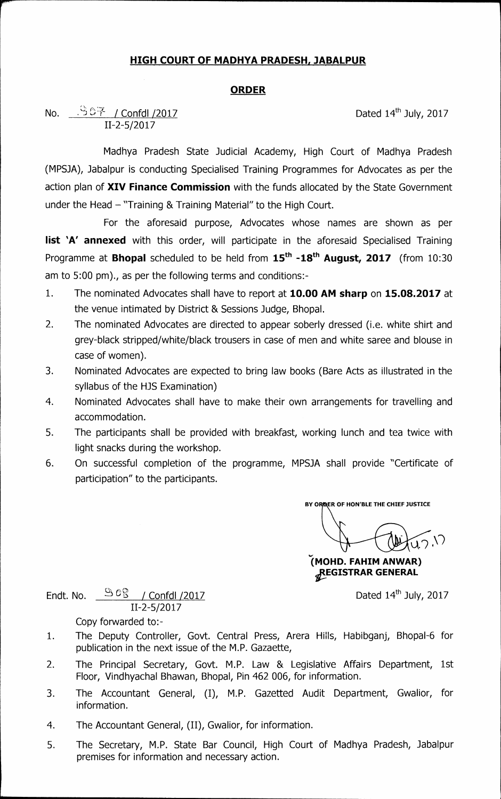## **HIGH COURT OF MADHYA PRADESH, JABALPUR**

## **ORDER**

## No.  $\frac{1567}{1000}$  / Confdl /2017 **Dated 14<sup>th</sup> July, 2017 11-2-5/2017**

**Madhya Pradesh State Judicial Academy, High Court of Madhya Pradesh (MPSJA), Jabalpur is conducting Specialised Training Programmes for Advocates as per the action plan of XIV Finance Commission with the funds allocated by the State Government under the Head "Training & Training Material" to the High Court.** 

**For the aforesaid purpose, Advocates whose names are shown as per list 'A' annexed** with this order, will participate in the aforesaid Specialised Training Programme at **Bhopal** scheduled to be held from  $15<sup>th</sup> -18<sup>th</sup>$  **August, 2017** (from 10:30 **am to 5:00 pm)., as per the following terms and conditions:-** 

- **1. The nominated Advocates shall have to report at 10.00 AM sharp on 15.08.2017 at the venue intimated by District & Sessions Judge, Bhopal.**
- **2. The nominated Advocates are directed to appear soberly dressed (i.e. white shirt and grey-black stripped/white/black trousers in case of men and white saree and blouse in case of women).**
- **3. Nominated Advocates are expected to bring law books (Bare Acts as illustrated in the syllabus of the HJS Examination)**
- **4. Nominated Advocates shall have to make their own arrangements for travelling and accommodation.**
- **5. The participants shall be provided with breakfast, working lunch and tea twice with light snacks during the workshop.**
- **6. On successful completion of the programme, MPSJA shall provide "Certificate of participation" to the participants.**

**BY 0 ER OF HON'BLE THE CHIEF JUSTICE** 

uk.')

**(MOHD. FAHIM AN WAR) 2ffGISTRAR GENERAL** 

Endt. No.  $\frac{\Im C\Im}{\Im C}$  / Confdl /2017 **Dated 14th July, 2017 11-2-5/2017** 

- **Copy forwarded to:-**
- **1. The Deputy Controller, Govt. Central Press, Arera Hills, Habibganj, Bhopal-6 for publication in the next issue of the M.P. Gazaette,**
- **2. The Principal Secretary, Govt. M.P. Law & Legislative Affairs Department, 1st Floor, Vindhyachal Bhawan, Bhopal, Pin 462 006, for information.**
- **3. The Accountant General, (I), M.P. Gazetted Audit Department, Gwalior, for information.**
- **4. The Accountant General, (II), Gwalior, for information.**
- **5. The Secretary, M.P. State Bar Council, High Court of Madhya Pradesh, Jabalpur premises for information and necessary action.**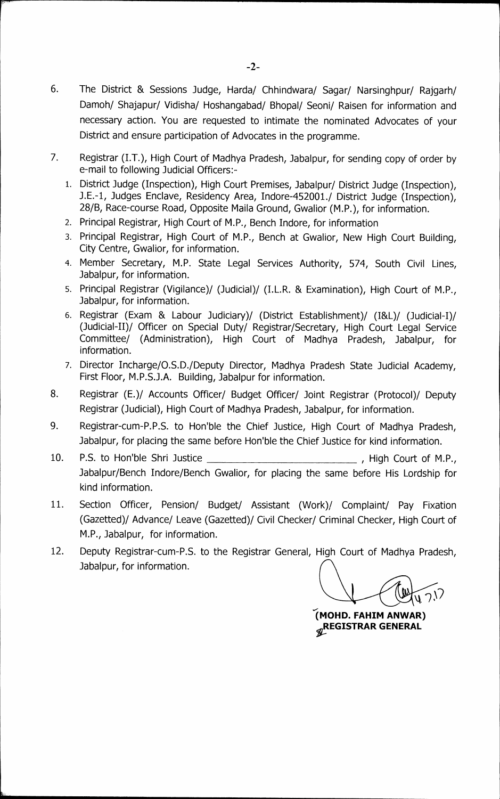- 6. The District & Sessions Judge, Harda/ Chhindwara/ Sagar/ Narsinghpur/ Rajgarh/ **Damoh/ Shajapur/ Vidisha/ Hoshangabad/ Bhopal/ Seoni/ Raisen for information and necessary action. You are requested to intimate the nominated Advocates of your District and ensure participation of Advocates in the programme.**
- **7. Registrar (I.T.), High Court of Madhya Pradesh, Jabalpur, for sending copy of order by e-mail to following Judicial Officers:-** 
	- **1. District Judge (Inspection), High Court Premises, Jabalpur/ District Judge (Inspection), J.E.-1, Judges Enclave, Residency Area, Indore-452001./ District Judge (Inspection), 28/B, Race-course Road, Opposite Maila Ground, Gwalior (M.P.), for information.**
	- **2. Principal Registrar, High Court of M.P., Bench Indore, for information**
	- **3. Principal Registrar, High Court of M.P., Bench at Gwalior, New High Court Building, City Centre, Gwalior, for information.**
	- **4. Member Secretary, M.P. State Legal Services Authority, 574, South Civil Lines, Jabalpur, for information.**
	- **5. Principal Registrar (Vigilance)/ (Judicial)/ (I.L.R. & Examination), High Court of M.P., Jabalpur, for information.**
	- **6. Registrar (Exam & Labour Judiciary)/ (District Establishment)/ (I&L)/ (Judicial-I)/ (Judicial-II)/ Officer on Special Duty/ Registrar/Secretary, High Court Legal Service Committee/ (Administration), High Court of Madhya Pradesh, Jabalpur, for information.**
	- **7. Director Incharge/O.S.D./Deputy Director, Madhya Pradesh State Judicial Academy, First Floor, M.P.S.J.A. Building, Jabalpur for information.**
- **8. Registrar (E.)/ Accounts Officer/ Budget Officer/ Joint Registrar (Protocol)/ Deputy Registrar (Judicial), High Court of Madhya Pradesh, Jabalpur, for information.**
- 9. Registrar-cum-P.P.S. to Hon'ble the Chief Justice, High Court of Madhya Pradesh, **Jabalpur, for placing the same before Hon'ble the Chief Justice for kind information.**
- 10. P.S. to Hon'ble Shri Justice *CONCERCITY LIGHT* **High Court of M.P.**, **Jabalpur/Bench Indore/Bench Gwalior, for placing the same before His Lordship for kind information.**
- **11. Section Officer, Pension/ Budget/ Assistant (Work)/ Complaint/ Pay Fixation (Gazetted)/ Advance/ Leave (Gazetted)/ Civil Checker/ Criminal Checker, High Court of M.P., Jabalpur, for information.**
- **12. Deputy Registrar-cum-P.S. to the Registrar General, High Court of Madhya Pradesh, Jabalpur, for information.**

**(MOHD. FAHIM ANWAR) REGISTRAR GENERAL**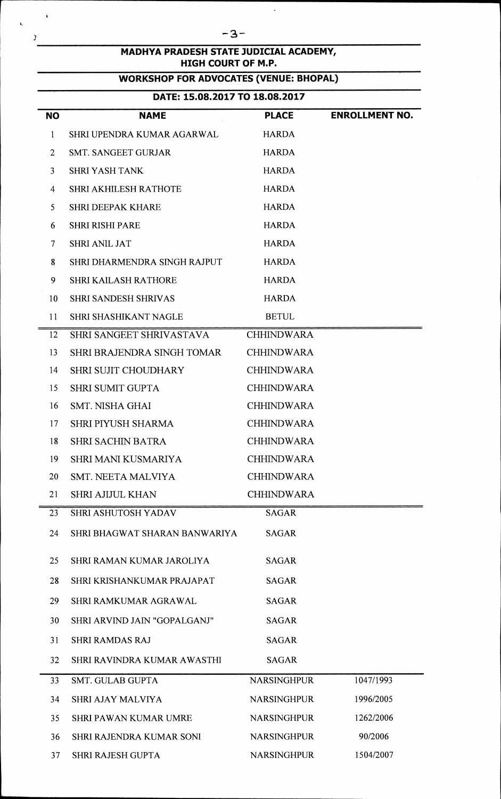| MADHYA PRADESH STATE JUDICIAL ACADEMY,<br><b>HIGH COURT OF M.P.</b> |                                               |                    |                       |  |  |  |
|---------------------------------------------------------------------|-----------------------------------------------|--------------------|-----------------------|--|--|--|
|                                                                     | <b>WORKSHOP FOR ADVOCATES (VENUE: BHOPAL)</b> |                    |                       |  |  |  |
|                                                                     | DATE: 15.08.2017 TO 18.08.2017                |                    |                       |  |  |  |
| <b>NO</b>                                                           | <b>NAME</b>                                   | <b>PLACE</b>       | <b>ENROLLMENT NO.</b> |  |  |  |
| 1                                                                   | SHRI UPENDRA KUMAR AGARWAL                    | <b>HARDA</b>       |                       |  |  |  |
| $\overline{2}$                                                      | <b>SMT. SANGEET GURJAR</b>                    | <b>HARDA</b>       |                       |  |  |  |
| 3                                                                   | <b>SHRI YASH TANK</b>                         | <b>HARDA</b>       |                       |  |  |  |
| 4                                                                   | <b>SHRI AKHILESH RATHOTE</b>                  | <b>HARDA</b>       |                       |  |  |  |
| 5                                                                   | <b>SHRI DEEPAK KHARE</b>                      | <b>HARDA</b>       |                       |  |  |  |
| 6                                                                   | <b>SHRI RISHI PARE</b>                        | <b>HARDA</b>       |                       |  |  |  |
| 7                                                                   | <b>SHRI ANIL JAT</b>                          | <b>HARDA</b>       |                       |  |  |  |
| 8                                                                   | SHRI DHARMENDRA SINGH RAJPUT                  | <b>HARDA</b>       |                       |  |  |  |
| 9                                                                   | <b>SHRI KAILASH RATHORE</b>                   | <b>HARDA</b>       |                       |  |  |  |
| 10                                                                  | <b>SHRI SANDESH SHRIVAS</b>                   | <b>HARDA</b>       |                       |  |  |  |
| 11                                                                  | SHRI SHASHIKANT NAGLE                         | <b>BETUL</b>       |                       |  |  |  |
| 12                                                                  | SHRI SANGEET SHRIVASTAVA                      | <b>CHHINDWARA</b>  |                       |  |  |  |
| 13                                                                  | <b>SHRI BRAJENDRA SINGH TOMAR</b>             | <b>CHHINDWARA</b>  |                       |  |  |  |
| 14                                                                  | <b>SHRI SUJIT CHOUDHARY</b>                   | <b>CHHINDWARA</b>  |                       |  |  |  |
| 15                                                                  | <b>SHRI SUMIT GUPTA</b>                       | <b>CHHINDWARA</b>  |                       |  |  |  |
| 16                                                                  | <b>SMT. NISHA GHAI</b>                        | <b>CHHINDWARA</b>  |                       |  |  |  |
| 17                                                                  | <b>SHRI PIYUSH SHARMA</b>                     | <b>CHHINDWARA</b>  |                       |  |  |  |
| 18                                                                  | <b>SHRI SACHIN BATRA</b>                      | <b>CHHINDWARA</b>  |                       |  |  |  |
| 19                                                                  | <b>SHRI MANI KUSMARIYA</b>                    | <b>CHHINDWARA</b>  |                       |  |  |  |
| 20                                                                  | SMT. NEETA MALVIYA                            | <b>CHHINDWARA</b>  |                       |  |  |  |
| 21                                                                  | <b>SHRI AJIJUL KHAN</b>                       | <b>CHHINDWARA</b>  |                       |  |  |  |
| 23                                                                  | <b>SHRI ASHUTOSH YADAV</b>                    | <b>SAGAR</b>       |                       |  |  |  |
| 24                                                                  | SHRI BHAGWAT SHARAN BANWARIYA                 | <b>SAGAR</b>       |                       |  |  |  |
| 25                                                                  | SHRI RAMAN KUMAR JAROLIYA                     | <b>SAGAR</b>       |                       |  |  |  |
| 28                                                                  | SHRI KRISHANKUMAR PRAJAPAT                    | <b>SAGAR</b>       |                       |  |  |  |
| 29                                                                  | SHRI RAMKUMAR AGRAWAL                         | <b>SAGAR</b>       |                       |  |  |  |
| 30                                                                  | SHRI ARVIND JAIN "GOPALGANJ"                  | <b>SAGAR</b>       |                       |  |  |  |
| 31                                                                  | <b>SHRI RAMDAS RAJ</b>                        | <b>SAGAR</b>       |                       |  |  |  |
| 32                                                                  | SHRI RAVINDRA KUMAR AWASTHI                   | <b>SAGAR</b>       |                       |  |  |  |
| 33                                                                  | <b>SMT. GULAB GUPTA</b>                       | <b>NARSINGHPUR</b> | 1047/1993             |  |  |  |
| 34                                                                  | <b>SHRI AJAY MALVIYA</b>                      | <b>NARSINGHPUR</b> | 1996/2005             |  |  |  |
| 35                                                                  | <b>SHRI PAWAN KUMAR UMRE</b>                  | <b>NARSINGHPUR</b> | 1262/2006             |  |  |  |
| 36                                                                  | SHRI RAJENDRA KUMAR SONI                      | <b>NARSINGHPUR</b> | 90/2006               |  |  |  |
| 37                                                                  | <b>SHRI RAJESH GUPTA</b>                      | <b>NARSINGHPUR</b> | 1504/2007             |  |  |  |

 $\hat{\mathcal{A}}$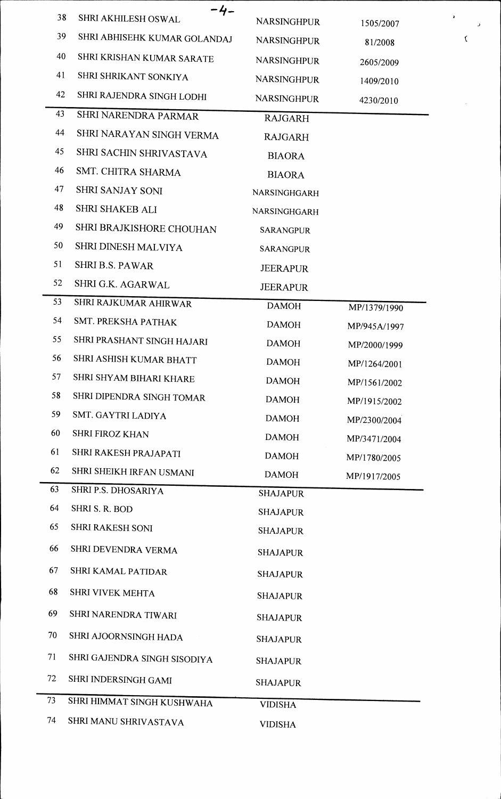|    | -4-                          |                    |              |
|----|------------------------------|--------------------|--------------|
| 38 | SHRI AKHILESH OSWAL          | <b>NARSINGHPUR</b> | 1505/2007    |
| 39 | SHRI ABHISEHK KUMAR GOLANDAJ | <b>NARSINGHPUR</b> | 81/2008      |
| 40 | SHRI KRISHAN KUMAR SARATE    | <b>NARSINGHPUR</b> | 2605/2009    |
| 41 | SHRI SHRIKANT SONKIYA        | NARSINGHPUR        | 1409/2010    |
| 42 | SHRI RAJENDRA SINGH LODHI    | <b>NARSINGHPUR</b> | 4230/2010    |
| 43 | SHRI NARENDRA PARMAR         | <b>RAJGARH</b>     |              |
| 44 | SHRI NARAYAN SINGH VERMA     | <b>RAJGARH</b>     |              |
| 45 | SHRI SACHIN SHRIVASTAVA      | <b>BIAORA</b>      |              |
| 46 | SMT. CHITRA SHARMA           | <b>BIAORA</b>      |              |
| 47 | <b>SHRI SANJAY SONI</b>      | NARSINGHGARH       |              |
| 48 | SHRI SHAKEB ALI              | NARSINGHGARH       |              |
| 49 | SHRI BRAJKISHORE CHOUHAN     | <b>SARANGPUR</b>   |              |
| 50 | SHRI DINESH MALVIYA          | <b>SARANGPUR</b>   |              |
| 51 | <b>SHRI B.S. PAWAR</b>       | JEERAPUR           |              |
| 52 | SHRI G.K. AGARWAL            | <b>JEERAPUR</b>    |              |
| 53 | SHRI RAJKUMAR AHIRWAR        | <b>DAMOH</b>       | MP/1379/1990 |
| 54 | SMT. PREKSHA PATHAK          | <b>DAMOH</b>       | MP/945A/1997 |
| 55 | SHRI PRASHANT SINGH HAJARI   | <b>DAMOH</b>       | MP/2000/1999 |
| 56 | SHRI ASHISH KUMAR BHATT      | <b>DAMOH</b>       | MP/1264/2001 |
| 57 | SHRI SHYAM BIHARI KHARE      | <b>DAMOH</b>       | MP/1561/2002 |
| 58 | SHRI DIPENDRA SINGH TOMAR    | <b>DAMOH</b>       | MP/1915/2002 |
| 59 | SMT. GAYTRI LADIYA           | <b>DAMOH</b>       | MP/2300/2004 |
| 60 | <b>SHRI FIROZ KHAN</b>       | <b>DAMOH</b>       | MP/3471/2004 |
| 61 | SHRI RAKESH PRAJAPATI        | <b>DAMOH</b>       | MP/1780/2005 |
| 62 | SHRI SHEIKH IRFAN USMANI     | <b>DAMOH</b>       | MP/1917/2005 |
| 63 | SHRI P.S. DHOSARIYA          | <b>SHAJAPUR</b>    |              |
| 64 | SHRI S. R. BOD               | <b>SHAJAPUR</b>    |              |
| 65 | <b>SHRI RAKESH SONI</b>      | <b>SHAJAPUR</b>    |              |
| 66 | SHRI DEVENDRA VERMA          | <b>SHAJAPUR</b>    |              |
| 67 | SHRI KAMAL PATIDAR           | <b>SHAJAPUR</b>    |              |
| 68 | SHRI VIVEK MEHTA             | <b>SHAJAPUR</b>    |              |
| 69 | SHRI NARENDRA TIWARI         | <b>SHAJAPUR</b>    |              |
| 70 | SHRI AJOORNSINGH HADA        | <b>SHAJAPUR</b>    |              |
| 71 | SHRI GAJENDRA SINGH SISODIYA | <b>SHAJAPUR</b>    |              |
| 72 | SHRI INDERSINGH GAMI         | <b>SHAJAPUR</b>    |              |
| 73 | SHRI HIMMAT SINGH KUSHWAHA   | <b>VIDISHA</b>     |              |
| 74 | SHRI MANU SHRIVASTAVA        | <b>VIDISHA</b>     |              |

 $\check{\mathbf{C}}$